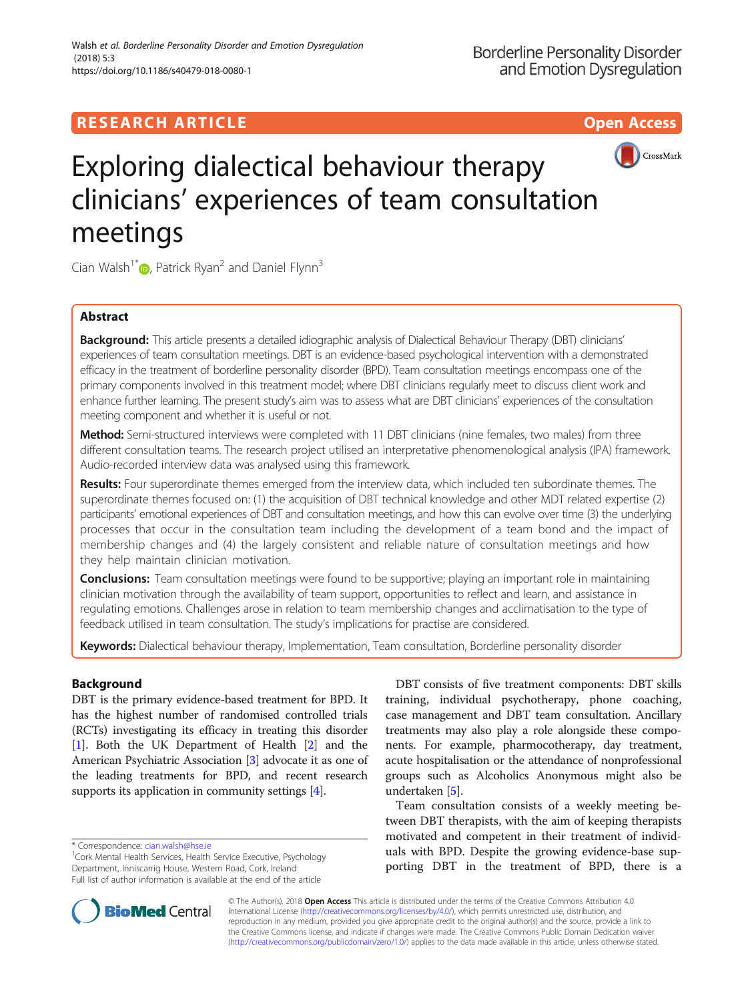# RESEARCH ARTICLE **External of the Contract Contract Contract Contract Contract Contract Contract Contract Contract Contract Contract Contract Contract Contract Contract Contract Contract Contract Contract Contract Contract**



# Exploring dialectical behaviour therapy clinicians' experiences of team consultation meetings

Cian Walsh<sup>1</sup><sup>\*</sup> $\bullet$ , Patrick Ryan<sup>2</sup> and Daniel Flynn<sup>3</sup>

## Abstract

Background: This article presents a detailed idiographic analysis of Dialectical Behaviour Therapy (DBT) clinicians' experiences of team consultation meetings. DBT is an evidence-based psychological intervention with a demonstrated efficacy in the treatment of borderline personality disorder (BPD). Team consultation meetings encompass one of the primary components involved in this treatment model; where DBT clinicians regularly meet to discuss client work and enhance further learning. The present study's aim was to assess what are DBT clinicians' experiences of the consultation meeting component and whether it is useful or not.

Method: Semi-structured interviews were completed with 11 DBT clinicians (nine females, two males) from three different consultation teams. The research project utilised an interpretative phenomenological analysis (IPA) framework. Audio-recorded interview data was analysed using this framework.

Results: Four superordinate themes emerged from the interview data, which included ten subordinate themes. The superordinate themes focused on: (1) the acquisition of DBT technical knowledge and other MDT related expertise (2) participants' emotional experiences of DBT and consultation meetings, and how this can evolve over time (3) the underlying processes that occur in the consultation team including the development of a team bond and the impact of membership changes and (4) the largely consistent and reliable nature of consultation meetings and how they help maintain clinician motivation.

**Conclusions:** Team consultation meetings were found to be supportive; playing an important role in maintaining clinician motivation through the availability of team support, opportunities to reflect and learn, and assistance in regulating emotions. Challenges arose in relation to team membership changes and acclimatisation to the type of feedback utilised in team consultation. The study's implications for practise are considered.

Keywords: Dialectical behaviour therapy, Implementation, Team consultation, Borderline personality disorder

## Background

DBT is the primary evidence-based treatment for BPD. It has the highest number of randomised controlled trials (RCTs) investigating its efficacy in treating this disorder [[1\]](#page-9-0). Both the UK Department of Health [\[2\]](#page-9-0) and the American Psychiatric Association [\[3\]](#page-9-0) advocate it as one of the leading treatments for BPD, and recent research supports its application in community settings [[4](#page-9-0)].

\* Correspondence: [cian.walsh@hse.ie](mailto:cian.walsh@hse.ie)

<sup>1</sup>Cork Mental Health Services, Health Service Executive, Psychology Department, Inniscarrig House, Western Road, Cork, Ireland Full list of author information is available at the end of the article

DBT consists of five treatment components: DBT skills training, individual psychotherapy, phone coaching, case management and DBT team consultation. Ancillary treatments may also play a role alongside these components. For example, pharmocotherapy, day treatment, acute hospitalisation or the attendance of nonprofessional groups such as Alcoholics Anonymous might also be undertaken [[5\]](#page-9-0).

Team consultation consists of a weekly meeting between DBT therapists, with the aim of keeping therapists motivated and competent in their treatment of individuals with BPD. Despite the growing evidence-base supporting DBT in the treatment of BPD, there is a



© The Author(s). 2018 Open Access This article is distributed under the terms of the Creative Commons Attribution 4.0 International License [\(http://creativecommons.org/licenses/by/4.0/](http://creativecommons.org/licenses/by/4.0/)), which permits unrestricted use, distribution, and reproduction in any medium, provided you give appropriate credit to the original author(s) and the source, provide a link to the Creative Commons license, and indicate if changes were made. The Creative Commons Public Domain Dedication waiver [\(http://creativecommons.org/publicdomain/zero/1.0/](http://creativecommons.org/publicdomain/zero/1.0/)) applies to the data made available in this article, unless otherwise stated.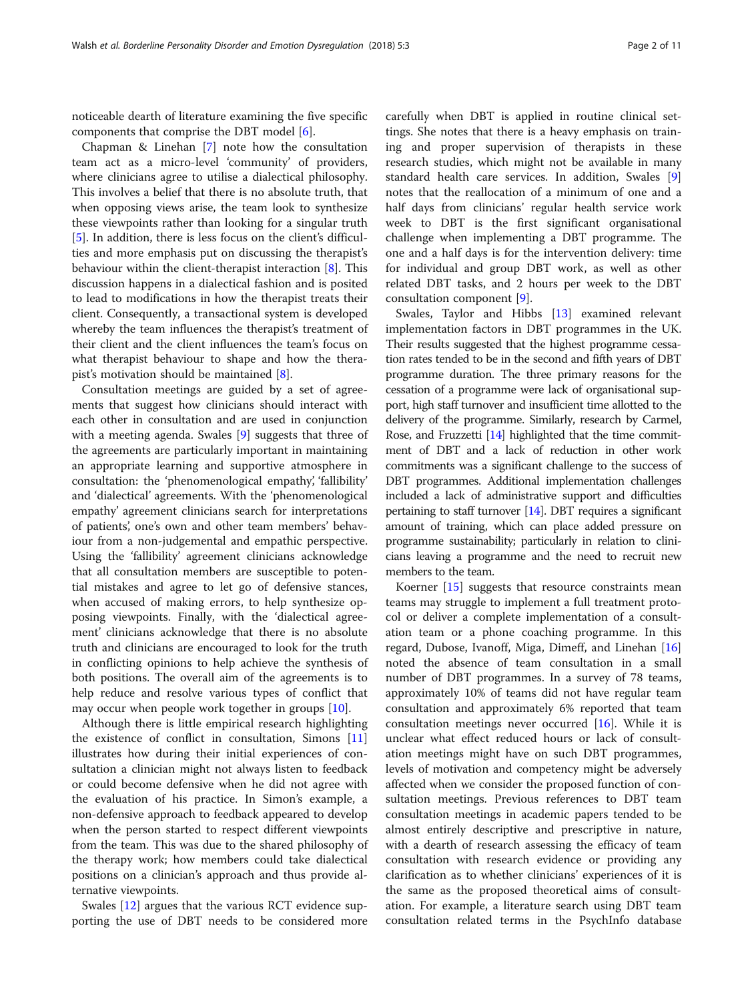noticeable dearth of literature examining the five specific components that comprise the DBT model [\[6\]](#page-9-0).

Chapman & Linehan [\[7\]](#page-9-0) note how the consultation team act as a micro-level 'community' of providers, where clinicians agree to utilise a dialectical philosophy. This involves a belief that there is no absolute truth, that when opposing views arise, the team look to synthesize these viewpoints rather than looking for a singular truth [[5\]](#page-9-0). In addition, there is less focus on the client's difficulties and more emphasis put on discussing the therapist's behaviour within the client-therapist interaction [\[8](#page-9-0)]. This discussion happens in a dialectical fashion and is posited to lead to modifications in how the therapist treats their client. Consequently, a transactional system is developed whereby the team influences the therapist's treatment of their client and the client influences the team's focus on what therapist behaviour to shape and how the therapist's motivation should be maintained [\[8](#page-9-0)].

Consultation meetings are guided by a set of agreements that suggest how clinicians should interact with each other in consultation and are used in conjunction with a meeting agenda. Swales [[9\]](#page-9-0) suggests that three of the agreements are particularly important in maintaining an appropriate learning and supportive atmosphere in consultation: the 'phenomenological empathy', 'fallibility' and 'dialectical' agreements. With the 'phenomenological empathy' agreement clinicians search for interpretations of patients', one's own and other team members' behaviour from a non-judgemental and empathic perspective. Using the 'fallibility' agreement clinicians acknowledge that all consultation members are susceptible to potential mistakes and agree to let go of defensive stances, when accused of making errors, to help synthesize opposing viewpoints. Finally, with the 'dialectical agreement' clinicians acknowledge that there is no absolute truth and clinicians are encouraged to look for the truth in conflicting opinions to help achieve the synthesis of both positions. The overall aim of the agreements is to help reduce and resolve various types of conflict that may occur when people work together in groups [\[10](#page-9-0)].

Although there is little empirical research highlighting the existence of conflict in consultation, Simons [[11](#page-9-0)] illustrates how during their initial experiences of consultation a clinician might not always listen to feedback or could become defensive when he did not agree with the evaluation of his practice. In Simon's example, a non-defensive approach to feedback appeared to develop when the person started to respect different viewpoints from the team. This was due to the shared philosophy of the therapy work; how members could take dialectical positions on a clinician's approach and thus provide alternative viewpoints.

Swales [\[12\]](#page-9-0) argues that the various RCT evidence supporting the use of DBT needs to be considered more

carefully when DBT is applied in routine clinical settings. She notes that there is a heavy emphasis on training and proper supervision of therapists in these research studies, which might not be available in many standard health care services. In addition, Swales [\[9](#page-9-0)] notes that the reallocation of a minimum of one and a half days from clinicians' regular health service work week to DBT is the first significant organisational challenge when implementing a DBT programme. The one and a half days is for the intervention delivery: time for individual and group DBT work, as well as other related DBT tasks, and 2 hours per week to the DBT consultation component [[9\]](#page-9-0).

Swales, Taylor and Hibbs [[13\]](#page-9-0) examined relevant implementation factors in DBT programmes in the UK. Their results suggested that the highest programme cessation rates tended to be in the second and fifth years of DBT programme duration. The three primary reasons for the cessation of a programme were lack of organisational support, high staff turnover and insufficient time allotted to the delivery of the programme. Similarly, research by Carmel, Rose, and Fruzzetti [\[14](#page-9-0)] highlighted that the time commitment of DBT and a lack of reduction in other work commitments was a significant challenge to the success of DBT programmes. Additional implementation challenges included a lack of administrative support and difficulties pertaining to staff turnover [\[14\]](#page-9-0). DBT requires a significant amount of training, which can place added pressure on programme sustainability; particularly in relation to clinicians leaving a programme and the need to recruit new members to the team.

Koerner [\[15](#page-9-0)] suggests that resource constraints mean teams may struggle to implement a full treatment protocol or deliver a complete implementation of a consultation team or a phone coaching programme. In this regard, Dubose, Ivanoff, Miga, Dimeff, and Linehan [[16](#page-9-0)] noted the absence of team consultation in a small number of DBT programmes. In a survey of 78 teams, approximately 10% of teams did not have regular team consultation and approximately 6% reported that team consultation meetings never occurred [\[16](#page-9-0)]. While it is unclear what effect reduced hours or lack of consultation meetings might have on such DBT programmes, levels of motivation and competency might be adversely affected when we consider the proposed function of consultation meetings. Previous references to DBT team consultation meetings in academic papers tended to be almost entirely descriptive and prescriptive in nature, with a dearth of research assessing the efficacy of team consultation with research evidence or providing any clarification as to whether clinicians' experiences of it is the same as the proposed theoretical aims of consultation. For example, a literature search using DBT team consultation related terms in the PsychInfo database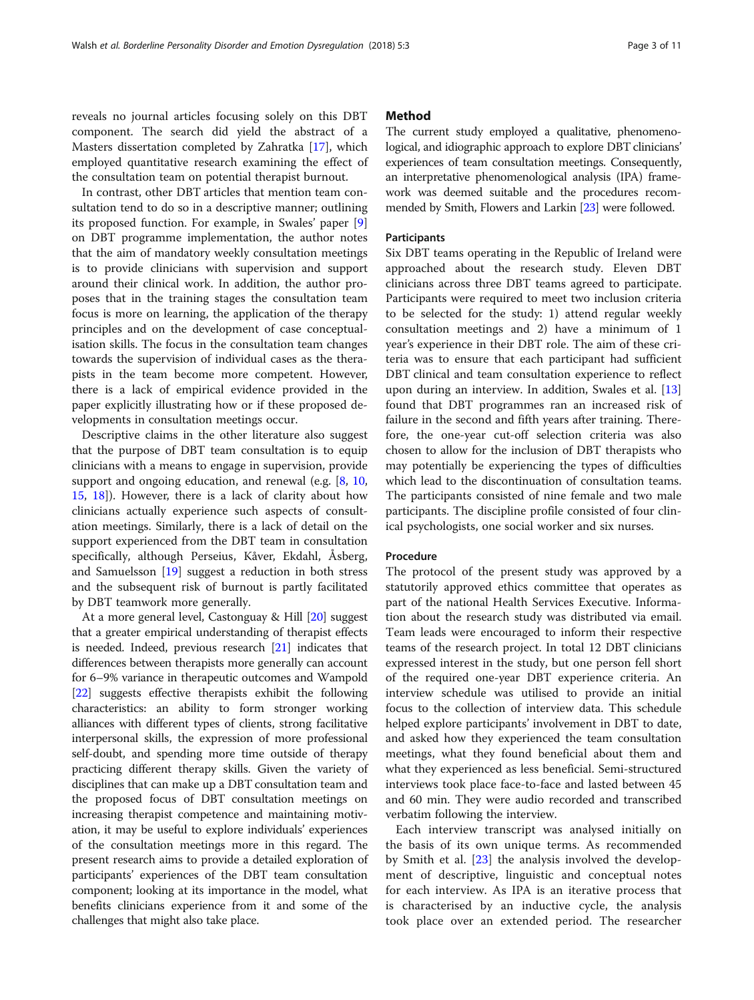reveals no journal articles focusing solely on this DBT component. The search did yield the abstract of a Masters dissertation completed by Zahratka [\[17\]](#page-9-0), which employed quantitative research examining the effect of the consultation team on potential therapist burnout.

In contrast, other DBT articles that mention team consultation tend to do so in a descriptive manner; outlining its proposed function. For example, in Swales' paper [\[9](#page-9-0)] on DBT programme implementation, the author notes that the aim of mandatory weekly consultation meetings is to provide clinicians with supervision and support around their clinical work. In addition, the author proposes that in the training stages the consultation team focus is more on learning, the application of the therapy principles and on the development of case conceptualisation skills. The focus in the consultation team changes towards the supervision of individual cases as the therapists in the team become more competent. However, there is a lack of empirical evidence provided in the paper explicitly illustrating how or if these proposed developments in consultation meetings occur.

Descriptive claims in the other literature also suggest that the purpose of DBT team consultation is to equip clinicians with a means to engage in supervision, provide support and ongoing education, and renewal (e.g. [\[8](#page-9-0), [10](#page-9-0), [15,](#page-9-0) [18\]](#page-9-0)). However, there is a lack of clarity about how clinicians actually experience such aspects of consultation meetings. Similarly, there is a lack of detail on the support experienced from the DBT team in consultation specifically, although Perseius, Kåver, Ekdahl, Åsberg, and Samuelsson [[19\]](#page-9-0) suggest a reduction in both stress and the subsequent risk of burnout is partly facilitated by DBT teamwork more generally.

At a more general level, Castonguay & Hill [\[20](#page-10-0)] suggest that a greater empirical understanding of therapist effects is needed. Indeed, previous research [\[21\]](#page-10-0) indicates that differences between therapists more generally can account for 6–9% variance in therapeutic outcomes and Wampold [[22](#page-10-0)] suggests effective therapists exhibit the following characteristics: an ability to form stronger working alliances with different types of clients, strong facilitative interpersonal skills, the expression of more professional self-doubt, and spending more time outside of therapy practicing different therapy skills. Given the variety of disciplines that can make up a DBT consultation team and the proposed focus of DBT consultation meetings on increasing therapist competence and maintaining motivation, it may be useful to explore individuals' experiences of the consultation meetings more in this regard. The present research aims to provide a detailed exploration of participants' experiences of the DBT team consultation component; looking at its importance in the model, what benefits clinicians experience from it and some of the challenges that might also take place.

## Method

The current study employed a qualitative, phenomenological, and idiographic approach to explore DBT clinicians' experiences of team consultation meetings. Consequently, an interpretative phenomenological analysis (IPA) framework was deemed suitable and the procedures recommended by Smith, Flowers and Larkin [\[23\]](#page-10-0) were followed.

#### **Participants**

Six DBT teams operating in the Republic of Ireland were approached about the research study. Eleven DBT clinicians across three DBT teams agreed to participate. Participants were required to meet two inclusion criteria to be selected for the study: 1) attend regular weekly consultation meetings and 2) have a minimum of 1 year's experience in their DBT role. The aim of these criteria was to ensure that each participant had sufficient DBT clinical and team consultation experience to reflect upon during an interview. In addition, Swales et al. [[13](#page-9-0)] found that DBT programmes ran an increased risk of failure in the second and fifth years after training. Therefore, the one-year cut-off selection criteria was also chosen to allow for the inclusion of DBT therapists who may potentially be experiencing the types of difficulties which lead to the discontinuation of consultation teams. The participants consisted of nine female and two male participants. The discipline profile consisted of four clinical psychologists, one social worker and six nurses.

#### Procedure

The protocol of the present study was approved by a statutorily approved ethics committee that operates as part of the national Health Services Executive. Information about the research study was distributed via email. Team leads were encouraged to inform their respective teams of the research project. In total 12 DBT clinicians expressed interest in the study, but one person fell short of the required one-year DBT experience criteria. An interview schedule was utilised to provide an initial focus to the collection of interview data. This schedule helped explore participants' involvement in DBT to date, and asked how they experienced the team consultation meetings, what they found beneficial about them and what they experienced as less beneficial. Semi-structured interviews took place face-to-face and lasted between 45 and 60 min. They were audio recorded and transcribed verbatim following the interview.

Each interview transcript was analysed initially on the basis of its own unique terms. As recommended by Smith et al. [[23\]](#page-10-0) the analysis involved the development of descriptive, linguistic and conceptual notes for each interview. As IPA is an iterative process that is characterised by an inductive cycle, the analysis took place over an extended period. The researcher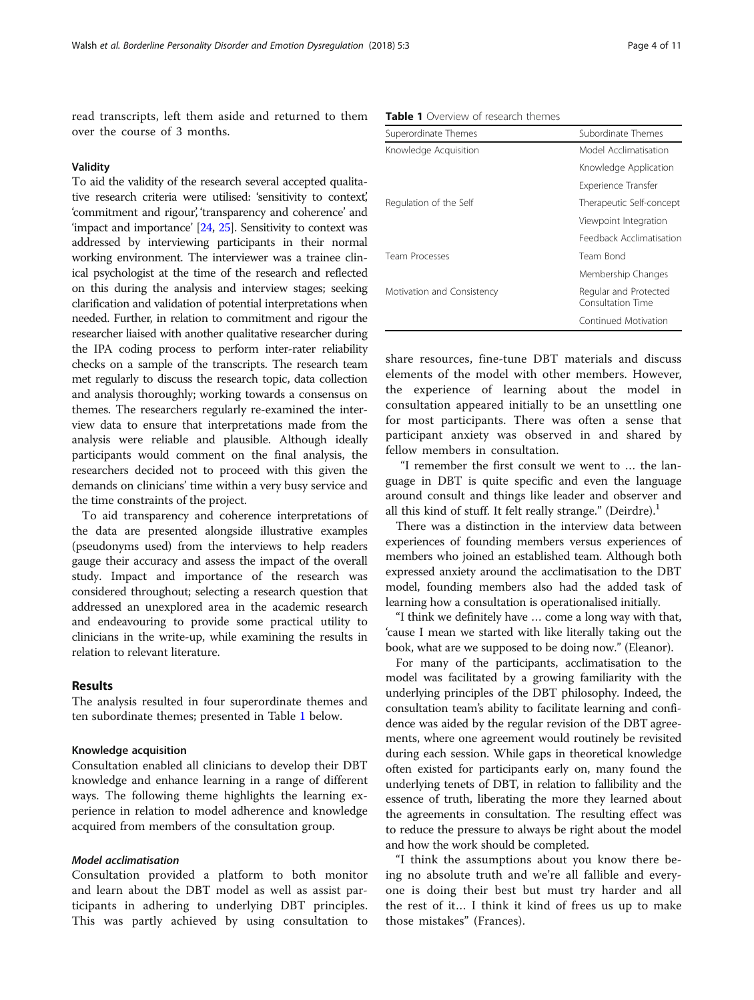Experience Transfer

Viewpoint Integration Feedback Acclimatisation

Membership Changes

read transcripts, left them aside and returned to them over the course of 3 months.

#### Validity

To aid the validity of the research several accepted qualitative research criteria were utilised: 'sensitivity to context,' 'commitment and rigour,' 'transparency and coherence' and 'impact and importance' [\[24,](#page-10-0) [25](#page-10-0)]. Sensitivity to context was addressed by interviewing participants in their normal working environment. The interviewer was a trainee clinical psychologist at the time of the research and reflected on this during the analysis and interview stages; seeking clarification and validation of potential interpretations when needed. Further, in relation to commitment and rigour the researcher liaised with another qualitative researcher during the IPA coding process to perform inter-rater reliability checks on a sample of the transcripts. The research team met regularly to discuss the research topic, data collection and analysis thoroughly; working towards a consensus on themes. The researchers regularly re-examined the interview data to ensure that interpretations made from the analysis were reliable and plausible. Although ideally participants would comment on the final analysis, the researchers decided not to proceed with this given the demands on clinicians' time within a very busy service and the time constraints of the project.

To aid transparency and coherence interpretations of the data are presented alongside illustrative examples (pseudonyms used) from the interviews to help readers gauge their accuracy and assess the impact of the overall study. Impact and importance of the research was considered throughout; selecting a research question that addressed an unexplored area in the academic research and endeavouring to provide some practical utility to clinicians in the write-up, while examining the results in relation to relevant literature.

#### Results

The analysis resulted in four superordinate themes and ten subordinate themes; presented in Table 1 below.

#### Knowledge acquisition

Consultation enabled all clinicians to develop their DBT knowledge and enhance learning in a range of different ways. The following theme highlights the learning experience in relation to model adherence and knowledge acquired from members of the consultation group.

#### Model acclimatisation

Consultation provided a platform to both monitor and learn about the DBT model as well as assist participants in adhering to underlying DBT principles. This was partly achieved by using consultation to

| Superordinate Themes  | Subordinate Themes    |
|-----------------------|-----------------------|
| Knowledge Acquisition | Model Acclimatisation |
|                       | Knowledge Application |
|                       |                       |

Team Processes Team Bond

Regulation of the Self Therapeutic Self-concept

Table 1 Overview of research themes

| Motivation and Consistency                              | Regular and Protected<br>Consultation Time |  |
|---------------------------------------------------------|--------------------------------------------|--|
|                                                         | Continued Motivation                       |  |
|                                                         |                                            |  |
| share resources, fine-tune DBT materials and discuss    |                                            |  |
| elements of the model with other members. However,      |                                            |  |
| the experience of learning about the model in           |                                            |  |
| consultation appeared initially to be an unsettling one |                                            |  |
| for most participants. There was often a sense that     |                                            |  |
| participant anxiety was observed in and shared by       |                                            |  |
| fellow members in consultation.                         |                                            |  |

"I remember the first consult we went to … the language in DBT is quite specific and even the language around consult and things like leader and observer and all this kind of stuff. It felt really strange." (Deirdre).<sup>1</sup>

There was a distinction in the interview data between experiences of founding members versus experiences of members who joined an established team. Although both expressed anxiety around the acclimatisation to the DBT model, founding members also had the added task of learning how a consultation is operationalised initially.

"I think we definitely have … come a long way with that, 'cause I mean we started with like literally taking out the book, what are we supposed to be doing now." (Eleanor).

For many of the participants, acclimatisation to the model was facilitated by a growing familiarity with the underlying principles of the DBT philosophy. Indeed, the consultation team's ability to facilitate learning and confidence was aided by the regular revision of the DBT agreements, where one agreement would routinely be revisited during each session. While gaps in theoretical knowledge often existed for participants early on, many found the underlying tenets of DBT, in relation to fallibility and the essence of truth, liberating the more they learned about the agreements in consultation. The resulting effect was to reduce the pressure to always be right about the model and how the work should be completed.

"I think the assumptions about you know there being no absolute truth and we're all fallible and everyone is doing their best but must try harder and all the rest of it… I think it kind of frees us up to make those mistakes" (Frances).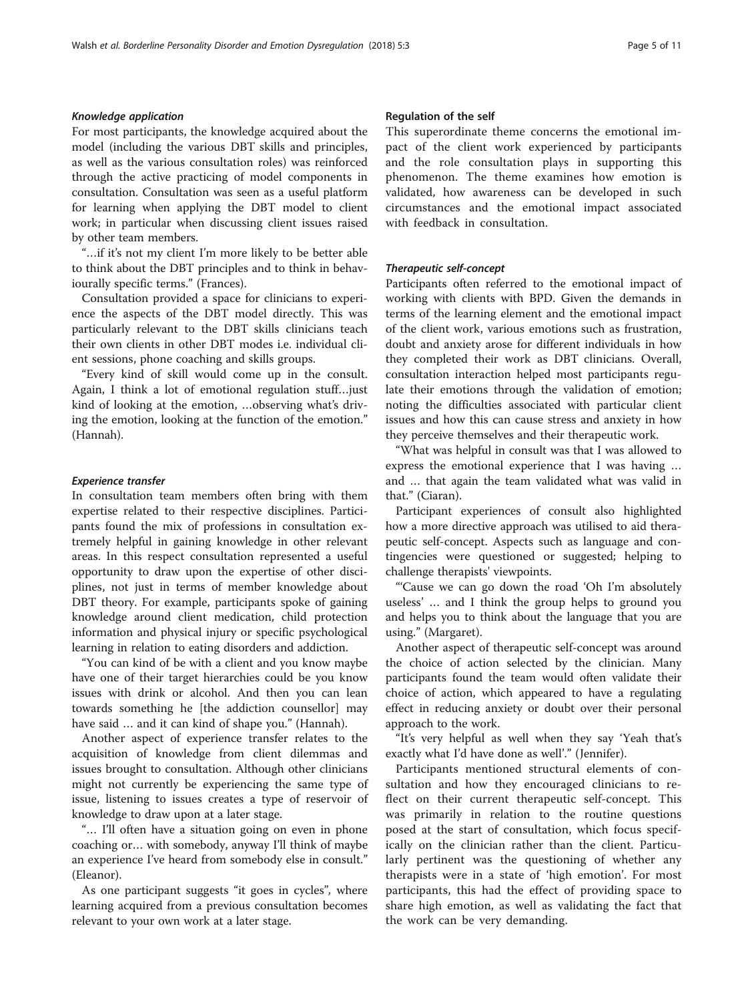## Knowledge application

For most participants, the knowledge acquired about the model (including the various DBT skills and principles, as well as the various consultation roles) was reinforced through the active practicing of model components in consultation. Consultation was seen as a useful platform for learning when applying the DBT model to client work; in particular when discussing client issues raised by other team members.

"…if it's not my client I'm more likely to be better able to think about the DBT principles and to think in behaviourally specific terms." (Frances).

Consultation provided a space for clinicians to experience the aspects of the DBT model directly. This was particularly relevant to the DBT skills clinicians teach their own clients in other DBT modes i.e. individual client sessions, phone coaching and skills groups.

"Every kind of skill would come up in the consult. Again, I think a lot of emotional regulation stuff…just kind of looking at the emotion, …observing what's driving the emotion, looking at the function of the emotion." (Hannah).

#### Experience transfer

In consultation team members often bring with them expertise related to their respective disciplines. Participants found the mix of professions in consultation extremely helpful in gaining knowledge in other relevant areas. In this respect consultation represented a useful opportunity to draw upon the expertise of other disciplines, not just in terms of member knowledge about DBT theory. For example, participants spoke of gaining knowledge around client medication, child protection information and physical injury or specific psychological learning in relation to eating disorders and addiction.

"You can kind of be with a client and you know maybe have one of their target hierarchies could be you know issues with drink or alcohol. And then you can lean towards something he [the addiction counsellor] may have said … and it can kind of shape you." (Hannah).

Another aspect of experience transfer relates to the acquisition of knowledge from client dilemmas and issues brought to consultation. Although other clinicians might not currently be experiencing the same type of issue, listening to issues creates a type of reservoir of knowledge to draw upon at a later stage.

"… I'll often have a situation going on even in phone coaching or… with somebody, anyway I'll think of maybe an experience I've heard from somebody else in consult." (Eleanor).

As one participant suggests "it goes in cycles", where learning acquired from a previous consultation becomes relevant to your own work at a later stage.

## Regulation of the self

This superordinate theme concerns the emotional impact of the client work experienced by participants and the role consultation plays in supporting this phenomenon. The theme examines how emotion is validated, how awareness can be developed in such circumstances and the emotional impact associated with feedback in consultation.

### Therapeutic self-concept

Participants often referred to the emotional impact of working with clients with BPD. Given the demands in terms of the learning element and the emotional impact of the client work, various emotions such as frustration, doubt and anxiety arose for different individuals in how they completed their work as DBT clinicians. Overall, consultation interaction helped most participants regulate their emotions through the validation of emotion; noting the difficulties associated with particular client issues and how this can cause stress and anxiety in how they perceive themselves and their therapeutic work.

"What was helpful in consult was that I was allowed to express the emotional experience that I was having … and … that again the team validated what was valid in that." (Ciaran).

Participant experiences of consult also highlighted how a more directive approach was utilised to aid therapeutic self-concept. Aspects such as language and contingencies were questioned or suggested; helping to challenge therapists' viewpoints.

"'Cause we can go down the road 'Oh I'm absolutely useless' … and I think the group helps to ground you and helps you to think about the language that you are using." (Margaret).

Another aspect of therapeutic self-concept was around the choice of action selected by the clinician. Many participants found the team would often validate their choice of action, which appeared to have a regulating effect in reducing anxiety or doubt over their personal approach to the work.

"It's very helpful as well when they say 'Yeah that's exactly what I'd have done as well'." (Jennifer).

Participants mentioned structural elements of consultation and how they encouraged clinicians to reflect on their current therapeutic self-concept. This was primarily in relation to the routine questions posed at the start of consultation, which focus specifically on the clinician rather than the client. Particularly pertinent was the questioning of whether any therapists were in a state of 'high emotion'. For most participants, this had the effect of providing space to share high emotion, as well as validating the fact that the work can be very demanding.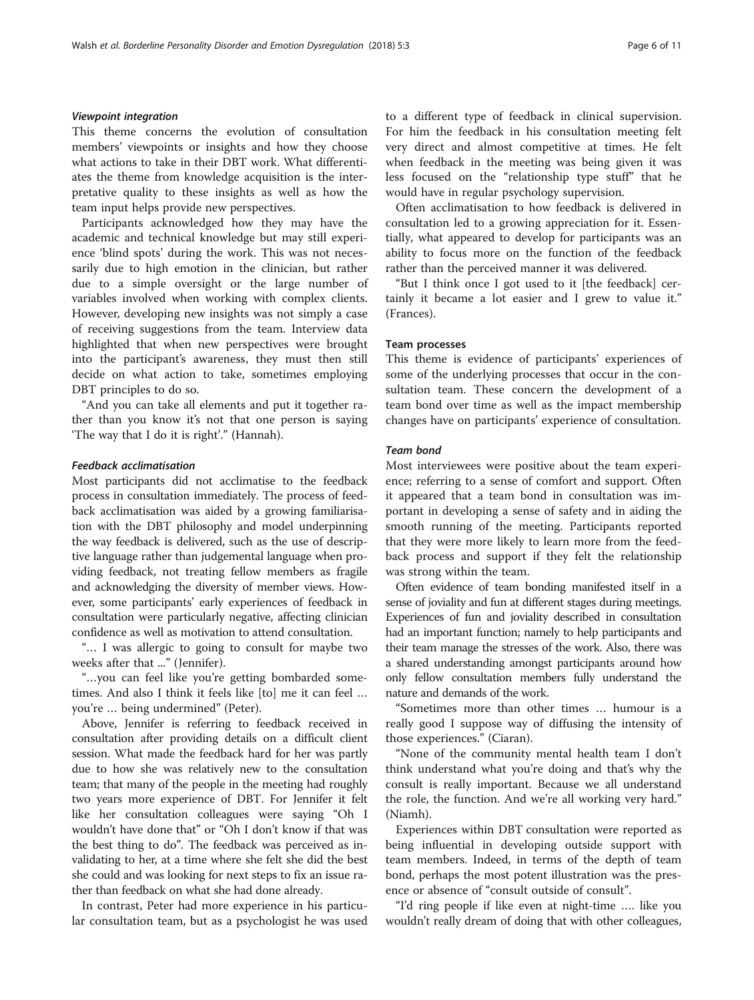## Viewpoint integration

This theme concerns the evolution of consultation members' viewpoints or insights and how they choose what actions to take in their DBT work. What differentiates the theme from knowledge acquisition is the interpretative quality to these insights as well as how the team input helps provide new perspectives.

Participants acknowledged how they may have the academic and technical knowledge but may still experience 'blind spots' during the work. This was not necessarily due to high emotion in the clinician, but rather due to a simple oversight or the large number of variables involved when working with complex clients. However, developing new insights was not simply a case of receiving suggestions from the team. Interview data highlighted that when new perspectives were brought into the participant's awareness, they must then still decide on what action to take, sometimes employing DBT principles to do so.

"And you can take all elements and put it together rather than you know it's not that one person is saying 'The way that I do it is right'." (Hannah).

#### Feedback acclimatisation

Most participants did not acclimatise to the feedback process in consultation immediately. The process of feedback acclimatisation was aided by a growing familiarisation with the DBT philosophy and model underpinning the way feedback is delivered, such as the use of descriptive language rather than judgemental language when providing feedback, not treating fellow members as fragile and acknowledging the diversity of member views. However, some participants' early experiences of feedback in consultation were particularly negative, affecting clinician confidence as well as motivation to attend consultation.

"… I was allergic to going to consult for maybe two weeks after that ..." (Jennifer).

"…you can feel like you're getting bombarded sometimes. And also I think it feels like [to] me it can feel … you're … being undermined" (Peter).

Above, Jennifer is referring to feedback received in consultation after providing details on a difficult client session. What made the feedback hard for her was partly due to how she was relatively new to the consultation team; that many of the people in the meeting had roughly two years more experience of DBT. For Jennifer it felt like her consultation colleagues were saying "Oh I wouldn't have done that" or "Oh I don't know if that was the best thing to do". The feedback was perceived as invalidating to her, at a time where she felt she did the best she could and was looking for next steps to fix an issue rather than feedback on what she had done already.

In contrast, Peter had more experience in his particular consultation team, but as a psychologist he was used to a different type of feedback in clinical supervision. For him the feedback in his consultation meeting felt very direct and almost competitive at times. He felt when feedback in the meeting was being given it was less focused on the "relationship type stuff" that he would have in regular psychology supervision.

Often acclimatisation to how feedback is delivered in consultation led to a growing appreciation for it. Essentially, what appeared to develop for participants was an ability to focus more on the function of the feedback rather than the perceived manner it was delivered.

"But I think once I got used to it [the feedback] certainly it became a lot easier and I grew to value it." (Frances).

#### Team processes

This theme is evidence of participants' experiences of some of the underlying processes that occur in the consultation team. These concern the development of a team bond over time as well as the impact membership changes have on participants' experience of consultation.

#### Team bond

Most interviewees were positive about the team experience; referring to a sense of comfort and support. Often it appeared that a team bond in consultation was important in developing a sense of safety and in aiding the smooth running of the meeting. Participants reported that they were more likely to learn more from the feedback process and support if they felt the relationship was strong within the team.

Often evidence of team bonding manifested itself in a sense of joviality and fun at different stages during meetings. Experiences of fun and joviality described in consultation had an important function; namely to help participants and their team manage the stresses of the work. Also, there was a shared understanding amongst participants around how only fellow consultation members fully understand the nature and demands of the work.

"Sometimes more than other times … humour is a really good I suppose way of diffusing the intensity of those experiences." (Ciaran).

"None of the community mental health team I don't think understand what you're doing and that's why the consult is really important. Because we all understand the role, the function. And we're all working very hard." (Niamh).

Experiences within DBT consultation were reported as being influential in developing outside support with team members. Indeed, in terms of the depth of team bond, perhaps the most potent illustration was the presence or absence of "consult outside of consult".

"I'd ring people if like even at night-time …. like you wouldn't really dream of doing that with other colleagues,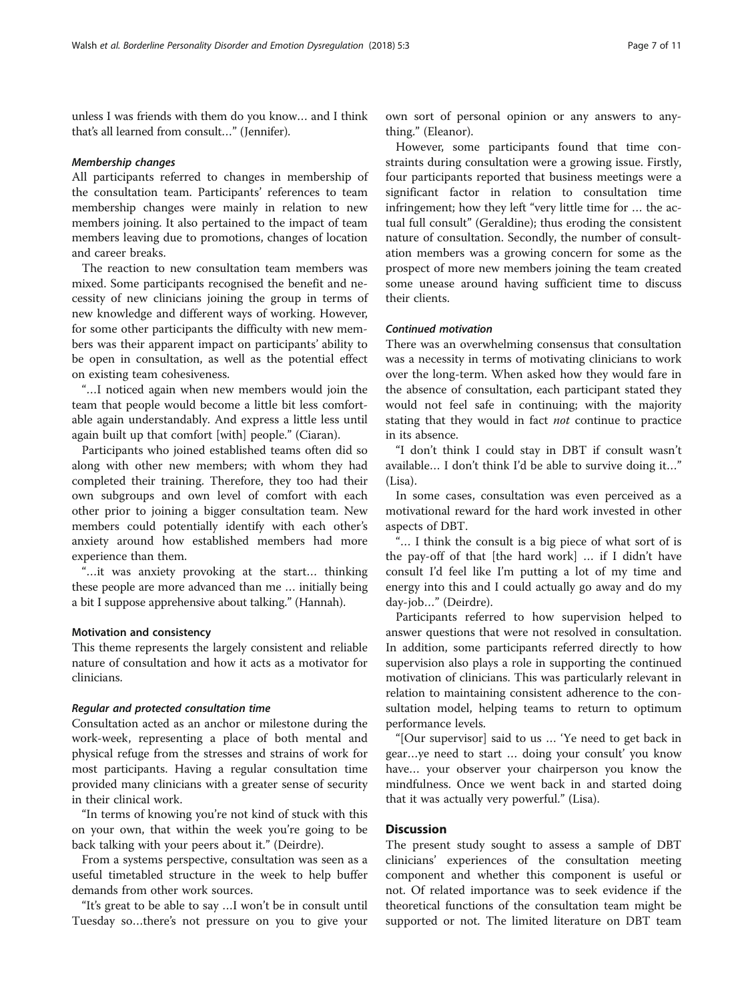unless I was friends with them do you know… and I think that's all learned from consult…" (Jennifer).

#### Membership changes

All participants referred to changes in membership of the consultation team. Participants' references to team membership changes were mainly in relation to new members joining. It also pertained to the impact of team members leaving due to promotions, changes of location and career breaks.

The reaction to new consultation team members was mixed. Some participants recognised the benefit and necessity of new clinicians joining the group in terms of new knowledge and different ways of working. However, for some other participants the difficulty with new members was their apparent impact on participants' ability to be open in consultation, as well as the potential effect on existing team cohesiveness.

"…I noticed again when new members would join the team that people would become a little bit less comfortable again understandably. And express a little less until again built up that comfort [with] people." (Ciaran).

Participants who joined established teams often did so along with other new members; with whom they had completed their training. Therefore, they too had their own subgroups and own level of comfort with each other prior to joining a bigger consultation team. New members could potentially identify with each other's anxiety around how established members had more experience than them.

"…it was anxiety provoking at the start… thinking these people are more advanced than me … initially being a bit I suppose apprehensive about talking." (Hannah).

#### Motivation and consistency

This theme represents the largely consistent and reliable nature of consultation and how it acts as a motivator for clinicians.

## Regular and protected consultation time

Consultation acted as an anchor or milestone during the work-week, representing a place of both mental and physical refuge from the stresses and strains of work for most participants. Having a regular consultation time provided many clinicians with a greater sense of security in their clinical work.

"In terms of knowing you're not kind of stuck with this on your own, that within the week you're going to be back talking with your peers about it." (Deirdre).

From a systems perspective, consultation was seen as a useful timetabled structure in the week to help buffer demands from other work sources.

"It's great to be able to say …I won't be in consult until Tuesday so…there's not pressure on you to give your

own sort of personal opinion or any answers to anything." (Eleanor).

However, some participants found that time constraints during consultation were a growing issue. Firstly, four participants reported that business meetings were a significant factor in relation to consultation time infringement; how they left "very little time for … the actual full consult" (Geraldine); thus eroding the consistent nature of consultation. Secondly, the number of consultation members was a growing concern for some as the prospect of more new members joining the team created some unease around having sufficient time to discuss their clients.

#### Continued motivation

There was an overwhelming consensus that consultation was a necessity in terms of motivating clinicians to work over the long-term. When asked how they would fare in the absence of consultation, each participant stated they would not feel safe in continuing; with the majority stating that they would in fact not continue to practice in its absence.

"I don't think I could stay in DBT if consult wasn't available… I don't think I'd be able to survive doing it…" (Lisa).

In some cases, consultation was even perceived as a motivational reward for the hard work invested in other aspects of DBT.

"… I think the consult is a big piece of what sort of is the pay-off of that [the hard work] … if I didn't have consult I'd feel like I'm putting a lot of my time and energy into this and I could actually go away and do my day-job…" (Deirdre).

Participants referred to how supervision helped to answer questions that were not resolved in consultation. In addition, some participants referred directly to how supervision also plays a role in supporting the continued motivation of clinicians. This was particularly relevant in relation to maintaining consistent adherence to the consultation model, helping teams to return to optimum performance levels.

"[Our supervisor] said to us … 'Ye need to get back in gear…ye need to start … doing your consult' you know have… your observer your chairperson you know the mindfulness. Once we went back in and started doing that it was actually very powerful." (Lisa).

## **Discussion**

The present study sought to assess a sample of DBT clinicians' experiences of the consultation meeting component and whether this component is useful or not. Of related importance was to seek evidence if the theoretical functions of the consultation team might be supported or not. The limited literature on DBT team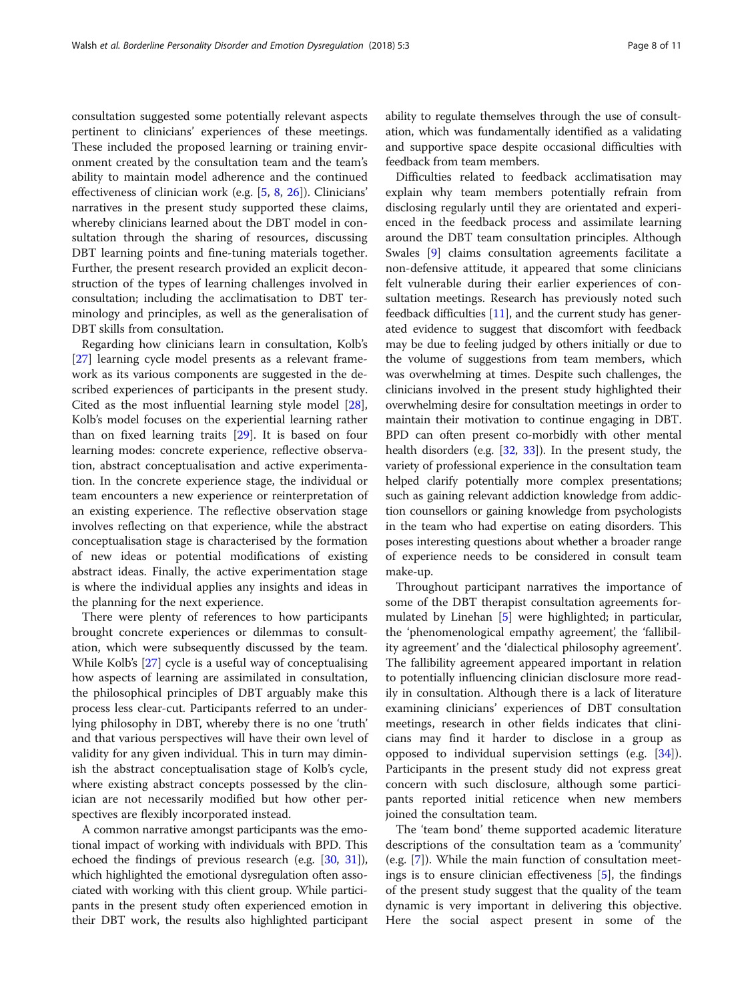consultation suggested some potentially relevant aspects pertinent to clinicians' experiences of these meetings. These included the proposed learning or training environment created by the consultation team and the team's ability to maintain model adherence and the continued effectiveness of clinician work (e.g. [\[5](#page-9-0), [8](#page-9-0), [26\]](#page-10-0)). Clinicians' narratives in the present study supported these claims, whereby clinicians learned about the DBT model in consultation through the sharing of resources, discussing DBT learning points and fine-tuning materials together. Further, the present research provided an explicit deconstruction of the types of learning challenges involved in consultation; including the acclimatisation to DBT terminology and principles, as well as the generalisation of DBT skills from consultation.

Regarding how clinicians learn in consultation, Kolb's [[27\]](#page-10-0) learning cycle model presents as a relevant framework as its various components are suggested in the described experiences of participants in the present study. Cited as the most influential learning style model [\[28](#page-10-0)], Kolb's model focuses on the experiential learning rather than on fixed learning traits [\[29](#page-10-0)]. It is based on four learning modes: concrete experience, reflective observation, abstract conceptualisation and active experimentation. In the concrete experience stage, the individual or team encounters a new experience or reinterpretation of an existing experience. The reflective observation stage involves reflecting on that experience, while the abstract conceptualisation stage is characterised by the formation of new ideas or potential modifications of existing abstract ideas. Finally, the active experimentation stage is where the individual applies any insights and ideas in the planning for the next experience.

There were plenty of references to how participants brought concrete experiences or dilemmas to consultation, which were subsequently discussed by the team. While Kolb's [[27\]](#page-10-0) cycle is a useful way of conceptualising how aspects of learning are assimilated in consultation, the philosophical principles of DBT arguably make this process less clear-cut. Participants referred to an underlying philosophy in DBT, whereby there is no one 'truth' and that various perspectives will have their own level of validity for any given individual. This in turn may diminish the abstract conceptualisation stage of Kolb's cycle, where existing abstract concepts possessed by the clinician are not necessarily modified but how other perspectives are flexibly incorporated instead.

A common narrative amongst participants was the emotional impact of working with individuals with BPD. This echoed the findings of previous research (e.g. [\[30,](#page-10-0) [31](#page-10-0)]), which highlighted the emotional dysregulation often associated with working with this client group. While participants in the present study often experienced emotion in their DBT work, the results also highlighted participant ability to regulate themselves through the use of consultation, which was fundamentally identified as a validating and supportive space despite occasional difficulties with feedback from team members.

Difficulties related to feedback acclimatisation may explain why team members potentially refrain from disclosing regularly until they are orientated and experienced in the feedback process and assimilate learning around the DBT team consultation principles. Although Swales [[9](#page-9-0)] claims consultation agreements facilitate a non-defensive attitude, it appeared that some clinicians felt vulnerable during their earlier experiences of consultation meetings. Research has previously noted such feedback difficulties [[11](#page-9-0)], and the current study has generated evidence to suggest that discomfort with feedback may be due to feeling judged by others initially or due to the volume of suggestions from team members, which was overwhelming at times. Despite such challenges, the clinicians involved in the present study highlighted their overwhelming desire for consultation meetings in order to maintain their motivation to continue engaging in DBT. BPD can often present co-morbidly with other mental health disorders (e.g. [\[32](#page-10-0), [33\]](#page-10-0)). In the present study, the variety of professional experience in the consultation team helped clarify potentially more complex presentations; such as gaining relevant addiction knowledge from addiction counsellors or gaining knowledge from psychologists in the team who had expertise on eating disorders. This poses interesting questions about whether a broader range of experience needs to be considered in consult team make-up.

Throughout participant narratives the importance of some of the DBT therapist consultation agreements formulated by Linehan [[5\]](#page-9-0) were highlighted; in particular, the 'phenomenological empathy agreement', the 'fallibility agreement' and the 'dialectical philosophy agreement'. The fallibility agreement appeared important in relation to potentially influencing clinician disclosure more readily in consultation. Although there is a lack of literature examining clinicians' experiences of DBT consultation meetings, research in other fields indicates that clinicians may find it harder to disclose in a group as opposed to individual supervision settings (e.g. [\[34](#page-10-0)]). Participants in the present study did not express great concern with such disclosure, although some participants reported initial reticence when new members joined the consultation team.

The 'team bond' theme supported academic literature descriptions of the consultation team as a 'community' (e.g. [[7\]](#page-9-0)). While the main function of consultation meetings is to ensure clinician effectiveness [\[5\]](#page-9-0), the findings of the present study suggest that the quality of the team dynamic is very important in delivering this objective. Here the social aspect present in some of the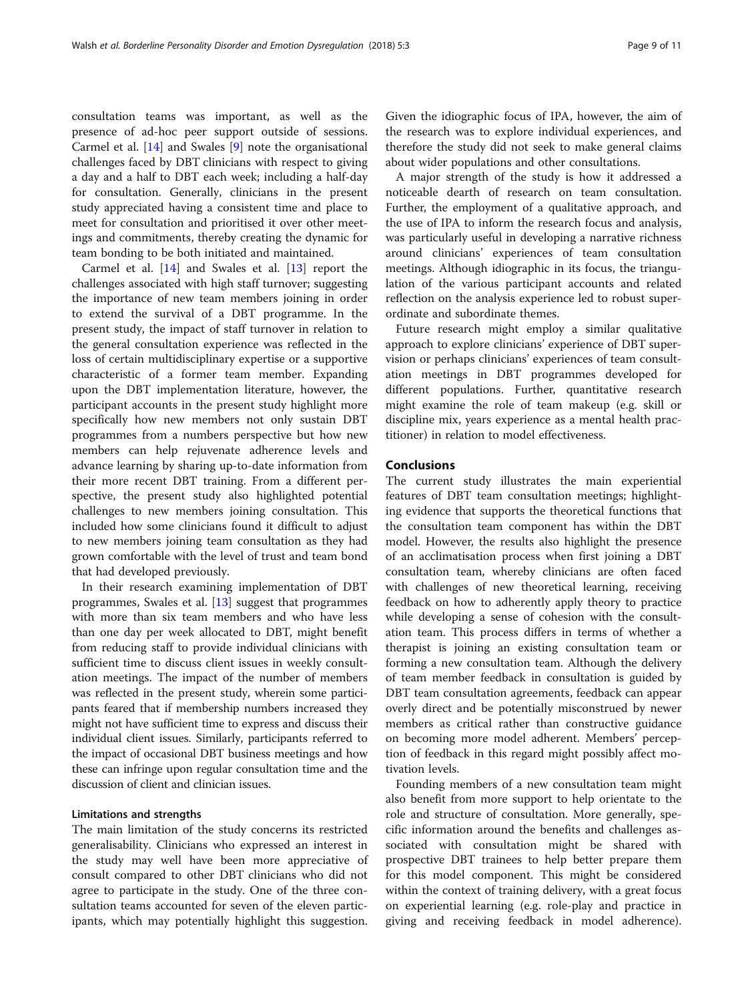consultation teams was important, as well as the presence of ad-hoc peer support outside of sessions. Carmel et al. [\[14](#page-9-0)] and Swales [\[9](#page-9-0)] note the organisational challenges faced by DBT clinicians with respect to giving a day and a half to DBT each week; including a half-day for consultation. Generally, clinicians in the present study appreciated having a consistent time and place to meet for consultation and prioritised it over other meetings and commitments, thereby creating the dynamic for team bonding to be both initiated and maintained.

Carmel et al. [\[14](#page-9-0)] and Swales et al. [\[13](#page-9-0)] report the challenges associated with high staff turnover; suggesting the importance of new team members joining in order to extend the survival of a DBT programme. In the present study, the impact of staff turnover in relation to the general consultation experience was reflected in the loss of certain multidisciplinary expertise or a supportive characteristic of a former team member. Expanding upon the DBT implementation literature, however, the participant accounts in the present study highlight more specifically how new members not only sustain DBT programmes from a numbers perspective but how new members can help rejuvenate adherence levels and advance learning by sharing up-to-date information from their more recent DBT training. From a different perspective, the present study also highlighted potential challenges to new members joining consultation. This included how some clinicians found it difficult to adjust to new members joining team consultation as they had grown comfortable with the level of trust and team bond that had developed previously.

In their research examining implementation of DBT programmes, Swales et al. [\[13](#page-9-0)] suggest that programmes with more than six team members and who have less than one day per week allocated to DBT, might benefit from reducing staff to provide individual clinicians with sufficient time to discuss client issues in weekly consultation meetings. The impact of the number of members was reflected in the present study, wherein some participants feared that if membership numbers increased they might not have sufficient time to express and discuss their individual client issues. Similarly, participants referred to the impact of occasional DBT business meetings and how these can infringe upon regular consultation time and the discussion of client and clinician issues.

### Limitations and strengths

The main limitation of the study concerns its restricted generalisability. Clinicians who expressed an interest in the study may well have been more appreciative of consult compared to other DBT clinicians who did not agree to participate in the study. One of the three consultation teams accounted for seven of the eleven participants, which may potentially highlight this suggestion.

Given the idiographic focus of IPA, however, the aim of the research was to explore individual experiences, and therefore the study did not seek to make general claims about wider populations and other consultations.

A major strength of the study is how it addressed a noticeable dearth of research on team consultation. Further, the employment of a qualitative approach, and the use of IPA to inform the research focus and analysis, was particularly useful in developing a narrative richness around clinicians' experiences of team consultation meetings. Although idiographic in its focus, the triangulation of the various participant accounts and related reflection on the analysis experience led to robust superordinate and subordinate themes.

Future research might employ a similar qualitative approach to explore clinicians' experience of DBT supervision or perhaps clinicians' experiences of team consultation meetings in DBT programmes developed for different populations. Further, quantitative research might examine the role of team makeup (e.g. skill or discipline mix, years experience as a mental health practitioner) in relation to model effectiveness.

## Conclusions

The current study illustrates the main experiential features of DBT team consultation meetings; highlighting evidence that supports the theoretical functions that the consultation team component has within the DBT model. However, the results also highlight the presence of an acclimatisation process when first joining a DBT consultation team, whereby clinicians are often faced with challenges of new theoretical learning, receiving feedback on how to adherently apply theory to practice while developing a sense of cohesion with the consultation team. This process differs in terms of whether a therapist is joining an existing consultation team or forming a new consultation team. Although the delivery of team member feedback in consultation is guided by DBT team consultation agreements, feedback can appear overly direct and be potentially misconstrued by newer members as critical rather than constructive guidance on becoming more model adherent. Members' perception of feedback in this regard might possibly affect motivation levels.

Founding members of a new consultation team might also benefit from more support to help orientate to the role and structure of consultation. More generally, specific information around the benefits and challenges associated with consultation might be shared with prospective DBT trainees to help better prepare them for this model component. This might be considered within the context of training delivery, with a great focus on experiential learning (e.g. role-play and practice in giving and receiving feedback in model adherence).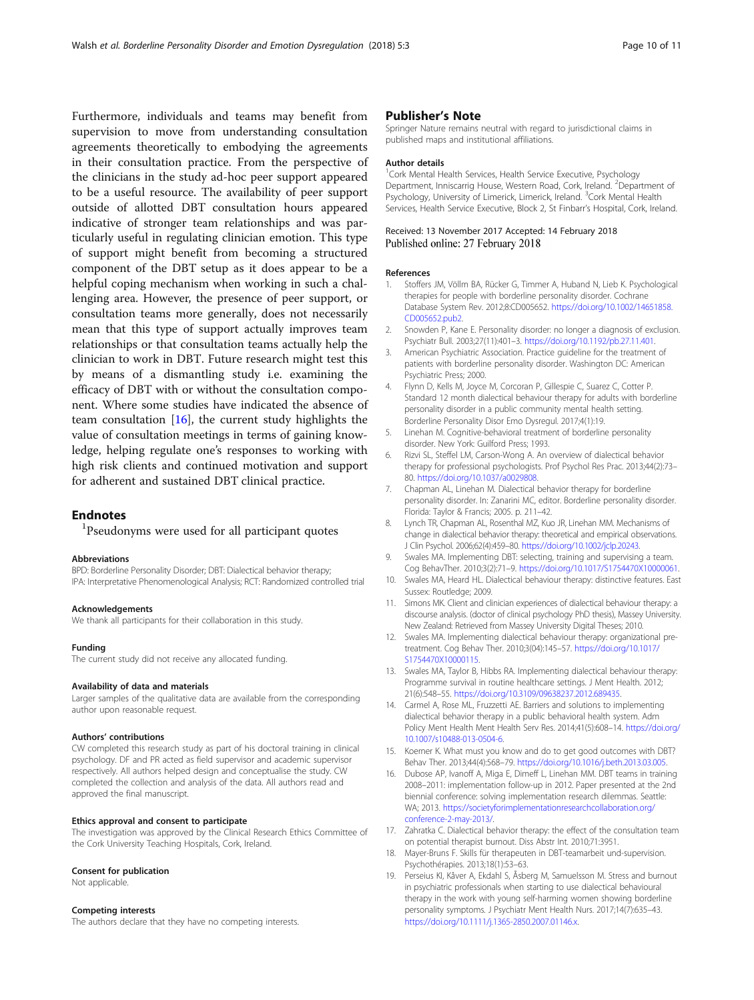<span id="page-9-0"></span>Furthermore, individuals and teams may benefit from supervision to move from understanding consultation agreements theoretically to embodying the agreements in their consultation practice. From the perspective of the clinicians in the study ad-hoc peer support appeared to be a useful resource. The availability of peer support outside of allotted DBT consultation hours appeared indicative of stronger team relationships and was particularly useful in regulating clinician emotion. This type of support might benefit from becoming a structured component of the DBT setup as it does appear to be a helpful coping mechanism when working in such a challenging area. However, the presence of peer support, or consultation teams more generally, does not necessarily mean that this type of support actually improves team relationships or that consultation teams actually help the clinician to work in DBT. Future research might test this by means of a dismantling study i.e. examining the efficacy of DBT with or without the consultation component. Where some studies have indicated the absence of team consultation [16], the current study highlights the value of consultation meetings in terms of gaining knowledge, helping regulate one's responses to working with high risk clients and continued motivation and support for adherent and sustained DBT clinical practice.

## **Endnotes**

<sup>1</sup>Pseudonyms were used for all participant quotes

#### Abbreviations

BPD: Borderline Personality Disorder; DBT: Dialectical behavior therapy; IPA: Interpretative Phenomenological Analysis; RCT: Randomized controlled trial

#### Acknowledgements

We thank all participants for their collaboration in this study.

#### Funding

The current study did not receive any allocated funding.

#### Availability of data and materials

Larger samples of the qualitative data are available from the corresponding author upon reasonable request.

#### Authors' contributions

CW completed this research study as part of his doctoral training in clinical psychology. DF and PR acted as field supervisor and academic supervisor respectively. All authors helped design and conceptualise the study. CW completed the collection and analysis of the data. All authors read and approved the final manuscript.

#### Ethics approval and consent to participate

The investigation was approved by the Clinical Research Ethics Committee of the Cork University Teaching Hospitals, Cork, Ireland.

#### Consent for publication

Not applicable.

#### Competing interests

The authors declare that they have no competing interests.

#### Publisher's Note

Springer Nature remains neutral with regard to jurisdictional claims in published maps and institutional affiliations.

#### Author details

<sup>1</sup> Cork Mental Health Services, Health Service Executive, Psychology Department, Inniscarrig House, Western Road, Cork, Ireland. <sup>2</sup>Department of Psychology, University of Limerick, Limerick, Ireland. <sup>3</sup>Cork Mental Health Services, Health Service Executive, Block 2, St Finbarr's Hospital, Cork, Ireland.

#### Received: 13 November 2017 Accepted: 14 February 2018 Published online: 27 February 2018

#### References

- 1. Stoffers JM, Völlm BA, Rücker G, Timmer A, Huband N, Lieb K. Psychological therapies for people with borderline personality disorder. Cochrane Database System Rev. 2012;8:CD005652. [https://doi.org/10.1002/14651858.](https://doi.org/10.1002/14651858.CD005652.pub2) [CD005652.pub2.](https://doi.org/10.1002/14651858.CD005652.pub2)
- 2. Snowden P, Kane E. Personality disorder: no longer a diagnosis of exclusion. Psychiatr Bull. 2003;27(11):401–3. [https://doi.org/10.1192/pb.27.11.401.](https://doi.org/10.1192/pb.27.11.401)
- 3. American Psychiatric Association. Practice guideline for the treatment of patients with borderline personality disorder. Washington DC: American Psychiatric Press; 2000.
- 4. Flynn D, Kells M, Joyce M, Corcoran P, Gillespie C, Suarez C, Cotter P. Standard 12 month dialectical behaviour therapy for adults with borderline personality disorder in a public community mental health setting. Borderline Personality Disor Emo Dysregul. 2017;4(1):19.
- 5. Linehan M. Cognitive-behavioral treatment of borderline personality disorder. New York: Guilford Press; 1993.
- 6. Rizvi SL, Steffel LM, Carson-Wong A. An overview of dialectical behavior therapy for professional psychologists. Prof Psychol Res Prac. 2013;44(2):73– 80. <https://doi.org/10.1037/a0029808>.
- 7. Chapman AL, Linehan M. Dialectical behavior therapy for borderline personality disorder. In: Zanarini MC, editor. Borderline personality disorder. Florida: Taylor & Francis; 2005. p. 211–42.
- 8. Lynch TR, Chapman AL, Rosenthal MZ, Kuo JR, Linehan MM. Mechanisms of change in dialectical behavior therapy: theoretical and empirical observations. J Clin Psychol. 2006;62(4):459–80. [https://doi.org/10.1002/jclp.20243.](https://doi.org/10.1002/jclp.20243)
- 9. Swales MA. Implementing DBT: selecting, training and supervising a team. Cog BehavTher. 2010;3(2):71–9. [https://doi.org/10.1017/S1754470X10000061.](https://doi.org/10.1017/S1754470X10000061)
- 10. Swales MA, Heard HL. Dialectical behaviour therapy: distinctive features. East Sussex: Routledge; 2009.
- 11. Simons MK. Client and clinician experiences of dialectical behaviour therapy: a discourse analysis. (doctor of clinical psychology PhD thesis), Massey University. New Zealand: Retrieved from Massey University Digital Theses; 2010.
- 12. Swales MA. Implementing dialectical behaviour therapy: organizational pretreatment. Cog Behav Ther. 2010;3(04):145–57. [https://doi.org/10.1017/](https://doi.org/10.1017/S1754470X10000115) [S1754470X10000115](https://doi.org/10.1017/S1754470X10000115).
- 13. Swales MA, Taylor B, Hibbs RA. Implementing dialectical behaviour therapy: Programme survival in routine healthcare settings. J Ment Health. 2012; 21(6):548–55. [https://doi.org/10.3109/09638237.2012.689435.](https://doi.org/10.3109/09638237.2012.689435)
- 14. Carmel A, Rose ML, Fruzzetti AE. Barriers and solutions to implementing dialectical behavior therapy in a public behavioral health system. Adm Policy Ment Health Ment Health Serv Res. 2014;41(5):608–14. [https://doi.org/](https://doi.org/10.1007/s10488-013-0504-6) [10.1007/s10488-013-0504-6](https://doi.org/10.1007/s10488-013-0504-6).
- 15. Koerner K. What must you know and do to get good outcomes with DBT? Behav Ther. 2013;44(4):568–79. <https://doi.org/10.1016/j.beth.2013.03.005>.
- 16. Dubose AP, Ivanoff A, Miga E, Dimeff L, Linehan MM. DBT teams in training 2008–2011: implementation follow-up in 2012. Paper presented at the 2nd biennial conference: solving implementation research dilemmas. Seattle: WA; 2013. [https://societyforimplementationresearchcollaboration.org/](https://societyforimplementationresearchcollaboration.org/conference-2-may-2013/) [conference-2-may-2013/](https://societyforimplementationresearchcollaboration.org/conference-2-may-2013/).
- 17. Zahratka C. Dialectical behavior therapy: the effect of the consultation team on potential therapist burnout. Diss Abstr Int. 2010;71:3951.
- 18. Mayer-Bruns F. Skills für therapeuten in DBT-teamarbeit und-supervision. Psychothérapies. 2013;18(1):53–63.
- 19. Perseius KI, Kåver A, Ekdahl S, Åsberg M, Samuelsson M. Stress and burnout in psychiatric professionals when starting to use dialectical behavioural therapy in the work with young self-harming women showing borderline personality symptoms. J Psychiatr Ment Health Nurs. 2017;14(7):635–43. <https://doi.org/10.1111/j.1365-2850.2007.01146.x>.